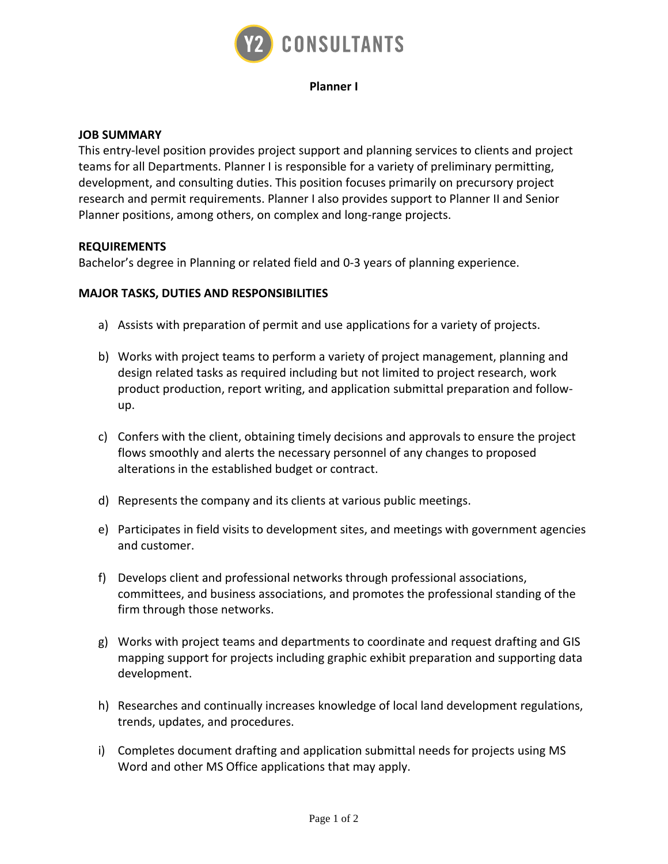

### **Planner I**

### **JOB SUMMARY**

This entry-level position provides project support and planning services to clients and project teams for all Departments. Planner I is responsible for a variety of preliminary permitting, development, and consulting duties. This position focuses primarily on precursory project research and permit requirements. Planner I also provides support to Planner II and Senior Planner positions, among others, on complex and long-range projects.

#### **REQUIREMENTS**

Bachelor's degree in Planning or related field and 0-3 years of planning experience.

### **MAJOR TASKS, DUTIES AND RESPONSIBILITIES**

- a) Assists with preparation of permit and use applications for a variety of projects.
- b) Works with project teams to perform a variety of project management, planning and design related tasks as required including but not limited to project research, work product production, report writing, and application submittal preparation and followup.
- c) Confers with the client, obtaining timely decisions and approvals to ensure the project flows smoothly and alerts the necessary personnel of any changes to proposed alterations in the established budget or contract.
- d) Represents the company and its clients at various public meetings.
- e) Participates in field visits to development sites, and meetings with government agencies and customer.
- f) Develops client and professional networks through professional associations, committees, and business associations, and promotes the professional standing of the firm through those networks.
- g) Works with project teams and departments to coordinate and request drafting and GIS mapping support for projects including graphic exhibit preparation and supporting data development.
- h) Researches and continually increases knowledge of local land development regulations, trends, updates, and procedures.
- i) Completes document drafting and application submittal needs for projects using MS Word and other MS Office applications that may apply.